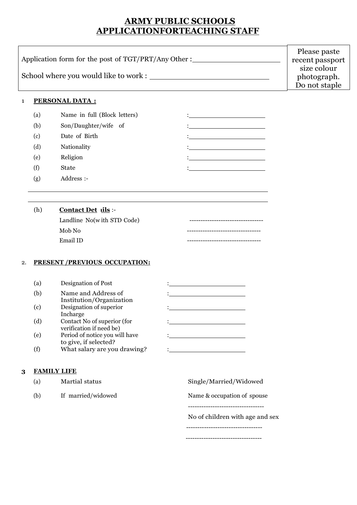# **ARMY PUBLIC SCHOOLS APPLICATIONFORTEACHING STAFF**

|                                                     | Please paste    |
|-----------------------------------------------------|-----------------|
| Application form for the post of TGT/PRT/Any Other: | recent passport |
|                                                     | size colour     |
| School where you would like to work:                | photograph.     |
|                                                     | Do not staple   |

### 1 **PERSONAL DATA :**

| (a) | Name in full (Block letters) |  |
|-----|------------------------------|--|
| (b) | Son/Daughter/wife of         |  |
| (c) | Date of Birth                |  |
| (d) | Nationality                  |  |
| (e) | Religion                     |  |
| (f) | <b>State</b>                 |  |
| (g) | Address :-                   |  |

# (h) **Contact Det ails** :-

| Landline No(with STD Code) |  |
|----------------------------|--|
| Mob No                     |  |
| Email ID                   |  |

### 2. **PRESENT /PREVIOUS OCCUPATION:**

| (a) | Designation of Post                                     |  |
|-----|---------------------------------------------------------|--|
| (b) | Name and Address of<br>Institution/Organization         |  |
| (c) | Designation of superior<br>Incharge                     |  |
| (d) | Contact No of superior (for<br>verification if need be) |  |
| (e) | Period of notice you will have<br>to give, if selected? |  |
|     | What salary are you drawing?                            |  |

# **3 FAMILY LIFE**

| (a) | Martial status     | Single/Married/Widowed          |
|-----|--------------------|---------------------------------|
| (b) | If married/widowed | Name & occupation of spouse     |
|     |                    |                                 |
|     |                    | No of children with age and sex |
|     |                    |                                 |
|     |                    |                                 |

----------------------------------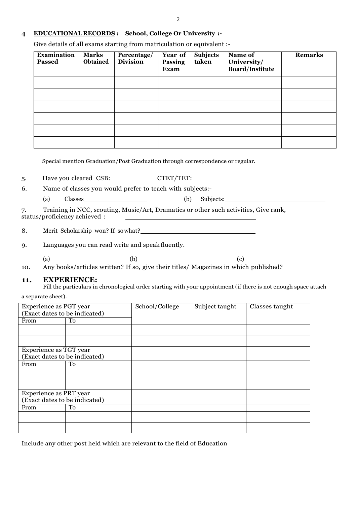#### **4 EDUCATIONAL RECORDS : School, College Or University :-**

Give details of all exams starting from matriculation or equivalent :-

| <b>Examination</b><br><b>Passed</b> | <b>Marks</b><br><b>Obtained</b> | Percentage/<br><b>Division</b> | Year of<br>Passing<br><b>Exam</b> | <b>Subjects</b><br>taken | Name of<br>University/<br><b>Board/Institute</b> | <b>Remarks</b> |
|-------------------------------------|---------------------------------|--------------------------------|-----------------------------------|--------------------------|--------------------------------------------------|----------------|
|                                     |                                 |                                |                                   |                          |                                                  |                |
|                                     |                                 |                                |                                   |                          |                                                  |                |
|                                     |                                 |                                |                                   |                          |                                                  |                |
|                                     |                                 |                                |                                   |                          |                                                  |                |
|                                     |                                 |                                |                                   |                          |                                                  |                |
|                                     |                                 |                                |                                   |                          |                                                  |                |

Special mention Graduation/Post Graduation through correspondence or regular.

5. Have you cleared CSB: CTET/TET:

6. Name of classes you would prefer to teach with subjects:-

(a) Classes (b) Subjects:

7. Training in NCC, scouting, Music/Art, Dramatics or other such activities, Give rank, status/proficiency achieved :

8. Merit Scholarship won? If sowhat?

9. Languages you can read write and speak fluently.

(a)  $(b)$  (c)

10. Any books/articles written? If so, give their titles/ Magazines in which published?

#### **11. EXPERIENCE:**

Fill the particulars in chronological order starting with your appointment (if there is not enough space attach a separate sheet).

| Experience as PGT year        |    | School/College | Subject taught | Classes taught |
|-------------------------------|----|----------------|----------------|----------------|
| (Exact dates to be indicated) |    |                |                |                |
| From                          | To |                |                |                |
|                               |    |                |                |                |
|                               |    |                |                |                |
| Experience as TGT year        |    |                |                |                |
| (Exact dates to be indicated) |    |                |                |                |
| From                          | To |                |                |                |
|                               |    |                |                |                |
|                               |    |                |                |                |
| Experience as PRT year        |    |                |                |                |
| (Exact dates to be indicated) |    |                |                |                |
| From                          | To |                |                |                |
|                               |    |                |                |                |
|                               |    |                |                |                |

Include any other post held which are relevant to the field of Education